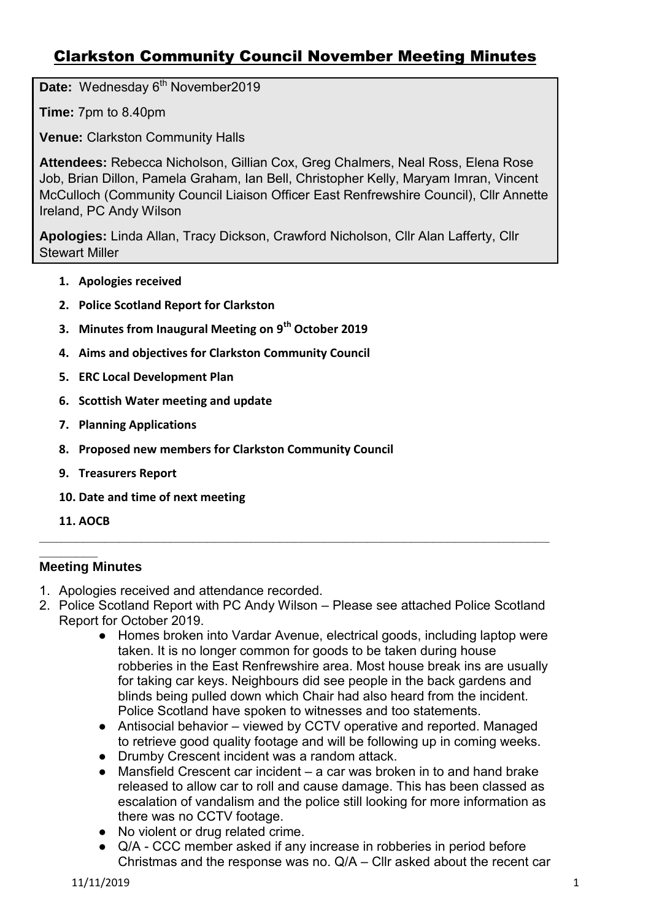# Clarkston Community Council November Meeting Minutes

Date: Wednesday 6<sup>th</sup> November2019

**Time:** 7pm to 8.40pm

**Venue:** Clarkston Community Halls

**Attendees:** Rebecca Nicholson, Gillian Cox, Greg Chalmers, Neal Ross, Elena Rose Job, Brian Dillon, Pamela Graham, Ian Bell, Christopher Kelly, Maryam Imran, Vincent McCulloch (Community Council Liaison Officer East Renfrewshire Council), Cllr Annette Ireland, PC Andy Wilson

**Apologies:** Linda Allan, Tracy Dickson, Crawford Nicholson, Cllr Alan Lafferty, Cllr Stewart Miller

- **1. Apologies received**
- **2. Police Scotland Report for Clarkston**
- **3. Minutes from Inaugural Meeting on 9th October 2019**
- **4. Aims and objectives for Clarkston Community Council**
- **5. ERC Local Development Plan**
- **6. Scottish Water meeting and update**
- **7. Planning Applications**
- **8. Proposed new members for Clarkston Community Council**
- **9. Treasurers Report**
- **10. Date and time of next meeting**
- **11. AOCB**

#### **\_\_\_\_\_\_\_\_ Meeting Minutes**

- 1. Apologies received and attendance recorded.
- 2. Police Scotland Report with PC Andy Wilson Please see attached Police Scotland Report for October 2019.

**\_\_\_\_\_\_\_\_\_\_\_\_\_\_\_\_\_\_\_\_\_\_\_\_\_\_\_\_\_\_\_\_\_\_\_\_\_\_\_\_\_\_\_\_\_\_\_\_\_\_\_\_\_\_\_\_\_\_\_\_\_\_\_\_\_\_\_\_\_\_**

- Homes broken into Vardar Avenue, electrical goods, including laptop were taken. It is no longer common for goods to be taken during house robberies in the East Renfrewshire area. Most house break ins are usually for taking car keys. Neighbours did see people in the back gardens and blinds being pulled down which Chair had also heard from the incident. Police Scotland have spoken to witnesses and too statements.
- Antisocial behavior viewed by CCTV operative and reported. Managed to retrieve good quality footage and will be following up in coming weeks.
- Drumby Crescent incident was a random attack.
- Mansfield Crescent car incident a car was broken in to and hand brake released to allow car to roll and cause damage. This has been classed as escalation of vandalism and the police still looking for more information as there was no CCTV footage.
- No violent or drug related crime.
- Q/A CCC member asked if any increase in robberies in period before Christmas and the response was no. Q/A – Cllr asked about the recent car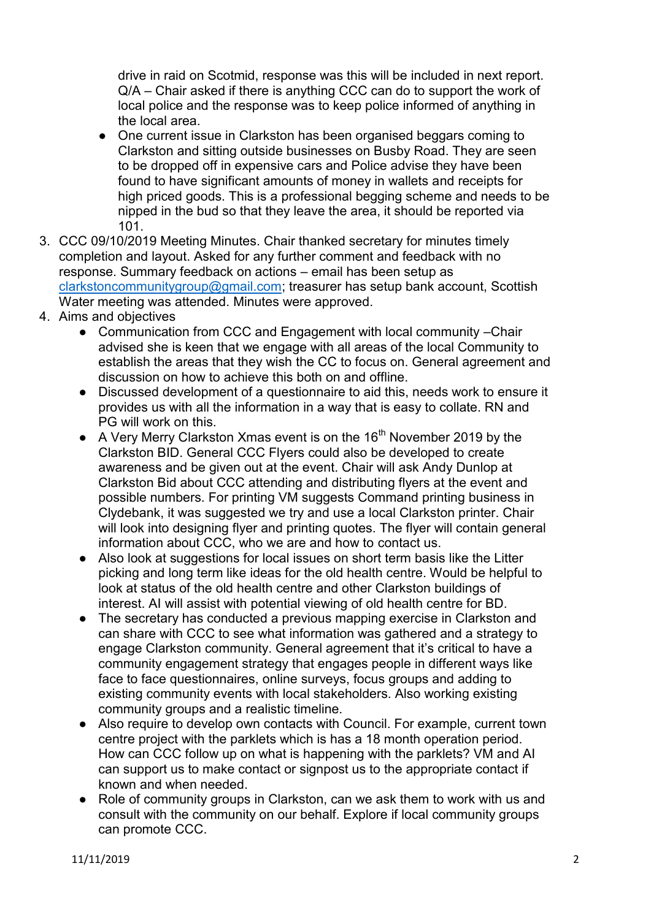drive in raid on Scotmid, response was this will be included in next report. Q/A – Chair asked if there is anything CCC can do to support the work of local police and the response was to keep police informed of anything in the local area.

- One current issue in Clarkston has been organised beggars coming to Clarkston and sitting outside businesses on Busby Road. They are seen to be dropped off in expensive cars and Police advise they have been found to have significant amounts of money in wallets and receipts for high priced goods. This is a professional begging scheme and needs to be nipped in the bud so that they leave the area, it should be reported via 101.
- 3. CCC 09/10/2019 Meeting Minutes. Chair thanked secretary for minutes timely completion and layout. Asked for any further comment and feedback with no response. Summary feedback on actions – email has been setup as [clarkstoncommunitygroup@gmail.com;](mailto:clarkstoncommunitygroup@gmail.com) treasurer has setup bank account, Scottish Water meeting was attended. Minutes were approved.
- 4. Aims and objectives
	- Communication from CCC and Engagement with local community -Chair advised she is keen that we engage with all areas of the local Community to establish the areas that they wish the CC to focus on. General agreement and discussion on how to achieve this both on and offline.
	- Discussed development of a questionnaire to aid this, needs work to ensure it provides us with all the information in a way that is easy to collate. RN and PG will work on this.
	- A Very Merry Clarkston Xmas event is on the 16<sup>th</sup> November 2019 by the Clarkston BID. General CCC Flyers could also be developed to create awareness and be given out at the event. Chair will ask Andy Dunlop at Clarkston Bid about CCC attending and distributing flyers at the event and possible numbers. For printing VM suggests Command printing business in Clydebank, it was suggested we try and use a local Clarkston printer. Chair will look into designing flyer and printing quotes. The flyer will contain general information about CCC, who we are and how to contact us.
	- Also look at suggestions for local issues on short term basis like the Litter picking and long term like ideas for the old health centre. Would be helpful to look at status of the old health centre and other Clarkston buildings of interest. AI will assist with potential viewing of old health centre for BD.
	- The secretary has conducted a previous mapping exercise in Clarkston and can share with CCC to see what information was gathered and a strategy to engage Clarkston community. General agreement that it's critical to have a community engagement strategy that engages people in different ways like face to face questionnaires, online surveys, focus groups and adding to existing community events with local stakeholders. Also working existing community groups and a realistic timeline.
	- Also require to develop own contacts with Council. For example, current town centre project with the parklets which is has a 18 month operation period. How can CCC follow up on what is happening with the parklets? VM and AI can support us to make contact or signpost us to the appropriate contact if known and when needed.
	- Role of community groups in Clarkston, can we ask them to work with us and consult with the community on our behalf. Explore if local community groups can promote CCC.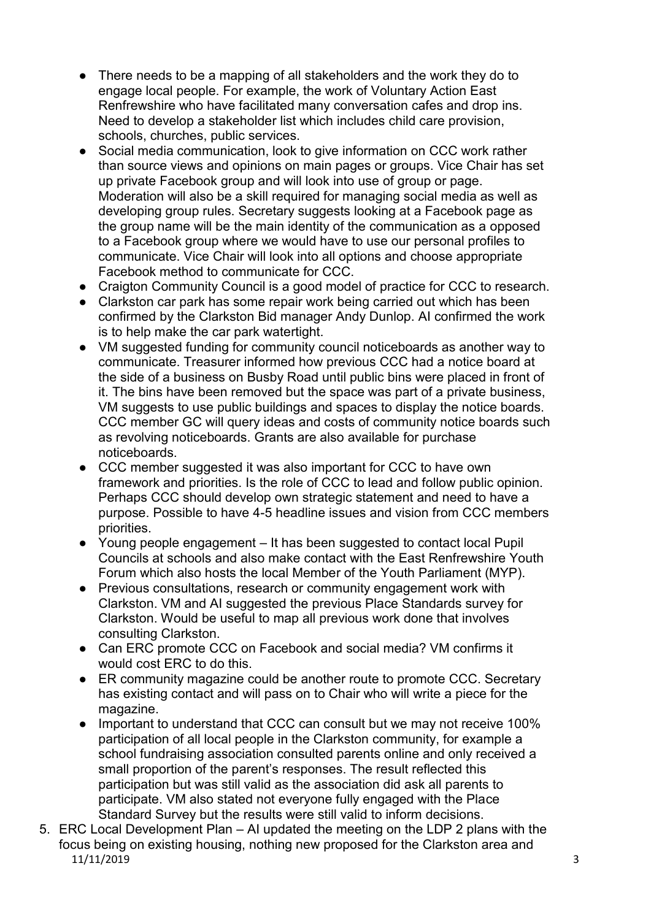- There needs to be a mapping of all stakeholders and the work they do to engage local people. For example, the work of Voluntary Action East Renfrewshire who have facilitated many conversation cafes and drop ins. Need to develop a stakeholder list which includes child care provision, schools, churches, public services.
- Social media communication, look to give information on CCC work rather than source views and opinions on main pages or groups. Vice Chair has set up private Facebook group and will look into use of group or page. Moderation will also be a skill required for managing social media as well as developing group rules. Secretary suggests looking at a Facebook page as the group name will be the main identity of the communication as a opposed to a Facebook group where we would have to use our personal profiles to communicate. Vice Chair will look into all options and choose appropriate Facebook method to communicate for CCC.
- Craigton Community Council is a good model of practice for CCC to research.
- Clarkston car park has some repair work being carried out which has been confirmed by the Clarkston Bid manager Andy Dunlop. AI confirmed the work is to help make the car park watertight.
- VM suggested funding for community council noticeboards as another way to communicate. Treasurer informed how previous CCC had a notice board at the side of a business on Busby Road until public bins were placed in front of it. The bins have been removed but the space was part of a private business, VM suggests to use public buildings and spaces to display the notice boards. CCC member GC will query ideas and costs of community notice boards such as revolving noticeboards. Grants are also available for purchase noticeboards.
- CCC member suggested it was also important for CCC to have own framework and priorities. Is the role of CCC to lead and follow public opinion. Perhaps CCC should develop own strategic statement and need to have a purpose. Possible to have 4-5 headline issues and vision from CCC members priorities.
- Young people engagement It has been suggested to contact local Pupil Councils at schools and also make contact with the East Renfrewshire Youth Forum which also hosts the local Member of the Youth Parliament (MYP).
- Previous consultations, research or community engagement work with Clarkston. VM and AI suggested the previous Place Standards survey for Clarkston. Would be useful to map all previous work done that involves consulting Clarkston.
- Can ERC promote CCC on Facebook and social media? VM confirms it would cost ERC to do this.
- ER community magazine could be another route to promote CCC. Secretary has existing contact and will pass on to Chair who will write a piece for the magazine.
- Important to understand that CCC can consult but we may not receive 100% participation of all local people in the Clarkston community, for example a school fundraising association consulted parents online and only received a small proportion of the parent's responses. The result reflected this participation but was still valid as the association did ask all parents to participate. VM also stated not everyone fully engaged with the Place Standard Survey but the results were still valid to inform decisions.
- 11/11/2019 3 5. ERC Local Development Plan – AI updated the meeting on the LDP 2 plans with the focus being on existing housing, nothing new proposed for the Clarkston area and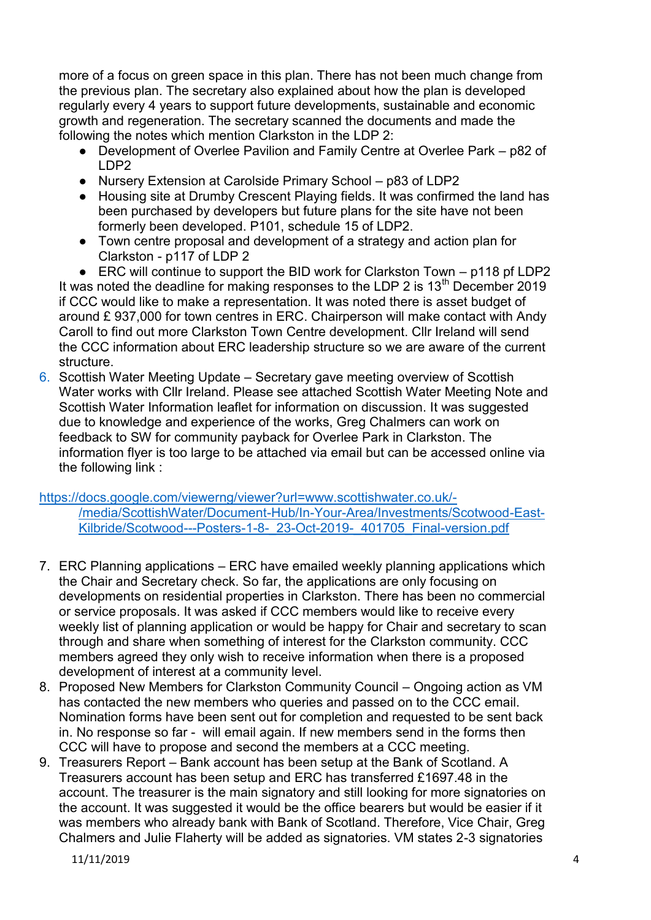more of a focus on green space in this plan. There has not been much change from the previous plan. The secretary also explained about how the plan is developed regularly every 4 years to support future developments, sustainable and economic growth and regeneration. The secretary scanned the documents and made the following the notes which mention Clarkston in the LDP 2:

- Development of Overlee Pavilion and Family Centre at Overlee Park p82 of LDP2
- Nursery Extension at Carolside Primary School p83 of LDP2
- Housing site at Drumby Crescent Playing fields. It was confirmed the land has been purchased by developers but future plans for the site have not been formerly been developed. P101, schedule 15 of LDP2.
- Town centre proposal and development of a strategy and action plan for Clarkston - p117 of LDP 2

● ERC will continue to support the BID work for Clarkston Town – p118 pf LDP2 It was noted the deadline for making responses to the LDP 2 is  $13<sup>th</sup>$  December 2019 if CCC would like to make a representation. It was noted there is asset budget of around £ 937,000 for town centres in ERC. Chairperson will make contact with Andy Caroll to find out more Clarkston Town Centre development. Cllr Ireland will send the CCC information about ERC leadership structure so we are aware of the current structure.

6. Scottish Water Meeting Update – Secretary gave meeting overview of Scottish Water works with Cllr Ireland. Please see attached Scottish Water Meeting Note and Scottish Water Information leaflet for information on discussion. It was suggested due to knowledge and experience of the works, Greg Chalmers can work on feedback to SW for community payback for Overlee Park in Clarkston. The information flyer is too large to be attached via email but can be accessed online via the following link :

[https://docs.google.com/viewerng/viewer?url=www.scottishwater.co.uk/-](https://docs.google.com/viewerng/viewer?url=www.scottishwater.co.uk/-/media/ScottishWater/Document-Hub/In-Your-Area/Investments/Scotwood-East-Kilbride/Scotwood---Posters-1-8-_23-Oct-2019-_401705_Final-version.pdf) [/media/ScottishWater/Document-Hub/In-Your-Area/Investments/Scotwood-East-](https://docs.google.com/viewerng/viewer?url=www.scottishwater.co.uk/-/media/ScottishWater/Document-Hub/In-Your-Area/Investments/Scotwood-East-Kilbride/Scotwood---Posters-1-8-_23-Oct-2019-_401705_Final-version.pdf)[Kilbride/Scotwood---Posters-1-8-\\_23-Oct-2019-\\_401705\\_Final-version.pdf](https://docs.google.com/viewerng/viewer?url=www.scottishwater.co.uk/-/media/ScottishWater/Document-Hub/In-Your-Area/Investments/Scotwood-East-Kilbride/Scotwood---Posters-1-8-_23-Oct-2019-_401705_Final-version.pdf) 

- 7. ERC Planning applications ERC have emailed weekly planning applications which the Chair and Secretary check. So far, the applications are only focusing on developments on residential properties in Clarkston. There has been no commercial or service proposals. It was asked if CCC members would like to receive every weekly list of planning application or would be happy for Chair and secretary to scan through and share when something of interest for the Clarkston community. CCC members agreed they only wish to receive information when there is a proposed development of interest at a community level.
- 8. Proposed New Members for Clarkston Community Council Ongoing action as VM has contacted the new members who queries and passed on to the CCC email. Nomination forms have been sent out for completion and requested to be sent back in. No response so far - will email again. If new members send in the forms then CCC will have to propose and second the members at a CCC meeting.
- 9. Treasurers Report Bank account has been setup at the Bank of Scotland. A Treasurers account has been setup and ERC has transferred £1697.48 in the account. The treasurer is the main signatory and still looking for more signatories on the account. It was suggested it would be the office bearers but would be easier if it was members who already bank with Bank of Scotland. Therefore, Vice Chair, Greg Chalmers and Julie Flaherty will be added as signatories. VM states 2-3 signatories

11/11/2019 4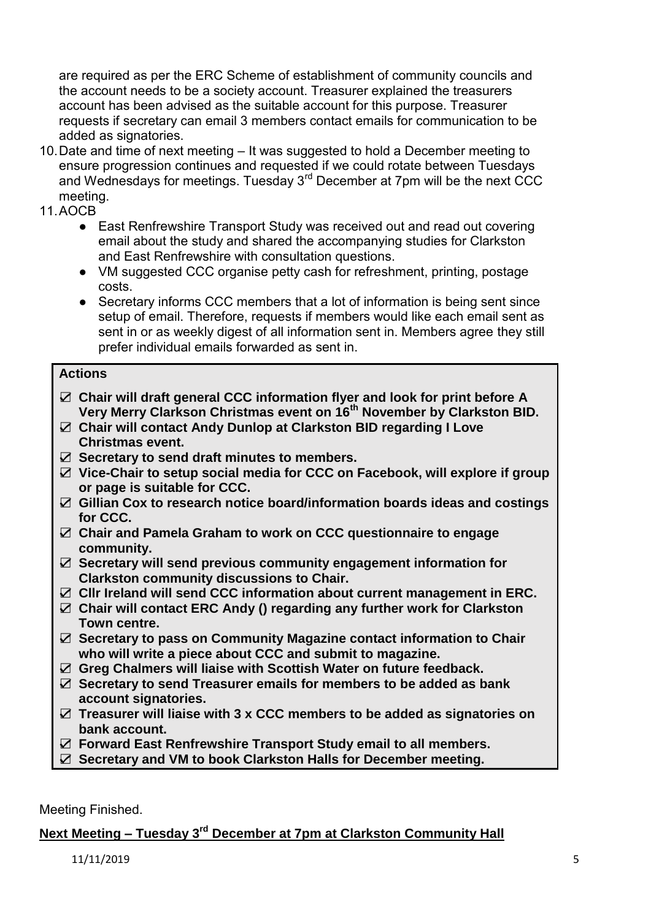are required as per the ERC Scheme of establishment of community councils and the account needs to be a society account. Treasurer explained the treasurers account has been advised as the suitable account for this purpose. Treasurer requests if secretary can email 3 members contact emails for communication to be added as signatories.

- 10. Date and time of next meeting It was suggested to hold a December meeting to ensure progression continues and requested if we could rotate between Tuesdays and Wednesdays for meetings. Tuesday 3<sup>rd</sup> December at 7pm will be the next CCC meeting.
- 11. AOCB
	- East Renfrewshire Transport Study was received out and read out covering email about the study and shared the accompanying studies for Clarkston and East Renfrewshire with consultation questions.
	- VM suggested CCC organise petty cash for refreshment, printing, postage costs.
	- Secretary informs CCC members that a lot of information is being sent since setup of email. Therefore, requests if members would like each email sent as sent in or as weekly digest of all information sent in. Members agree they still prefer individual emails forwarded as sent in.

#### **Actions**

- ☑ **Chair will draft general CCC information flyer and look for print before A Very Merry Clarkson Christmas event on 16th November by Clarkston BID.**
- ☑ **Chair will contact Andy Dunlop at Clarkston BID regarding I Love Christmas event.**
- ☑ **Secretary to send draft minutes to members.**
- ☑ **Vice-Chair to setup social media for CCC on Facebook, will explore if group or page is suitable for CCC.**
- ☑ **Gillian Cox to research notice board/information boards ideas and costings for CCC.**
- ☑ **Chair and Pamela Graham to work on CCC questionnaire to engage community.**
- ☑ **Secretary will send previous community engagement information for Clarkston community discussions to Chair.**
- ☑ **Cllr Ireland will send CCC information about current management in ERC.**
- ☑ **Chair will contact ERC Andy () regarding any further work for Clarkston Town centre.**
- ☑ **Secretary to pass on Community Magazine contact information to Chair who will write a piece about CCC and submit to magazine.**
- ☑ **Greg Chalmers will liaise with Scottish Water on future feedback.**
- ☑ **Secretary to send Treasurer emails for members to be added as bank account signatories.**
- ☑ **Treasurer will liaise with 3 x CCC members to be added as signatories on bank account.**
- ☑ **Forward East Renfrewshire Transport Study email to all members.**
- ☑ **Secretary and VM to book Clarkston Halls for December meeting.**

Meeting Finished.

### **Next Meeting – Tuesday 3rd December at 7pm at Clarkston Community Hall**

11/11/2019 5